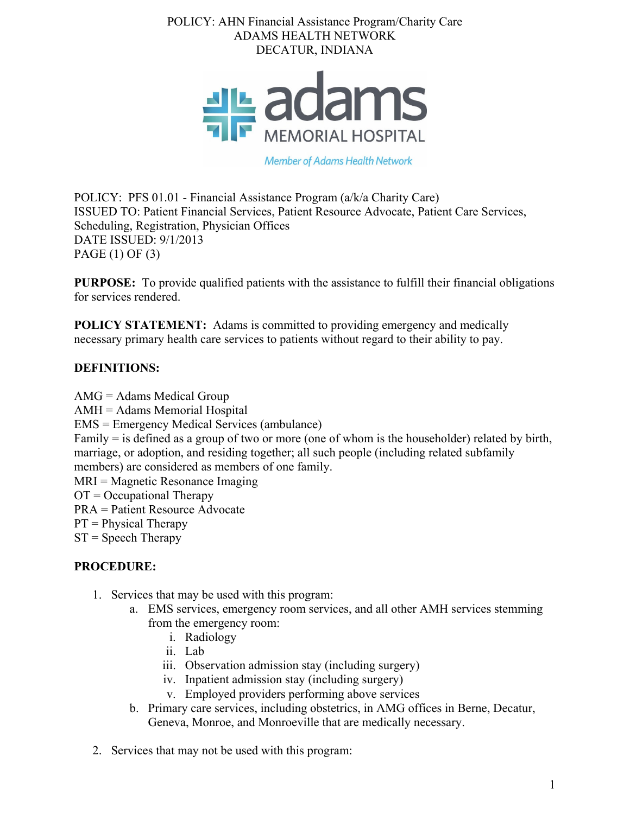## POLICY: AHN Financial Assistance Program/Charity Care ADAMS HEALTH NETWORK DECATUR, INDIANA



**Member of Adams Health Network** 

POLICY: PFS 01.01 - Financial Assistance Program (a/k/a Charity Care) ISSUED TO: Patient Financial Services, Patient Resource Advocate, Patient Care Services, Scheduling, Registration, Physician Offices DATE ISSUED: 9/1/2013 PAGE (1) OF (3)

**PURPOSE:** To provide qualified patients with the assistance to fulfill their financial obligations for services rendered.

**POLICY STATEMENT:** Adams is committed to providing emergency and medically necessary primary health care services to patients without regard to their ability to pay.

# **DEFINITIONS:**

AMG = Adams Medical Group AMH = Adams Memorial Hospital EMS = Emergency Medical Services (ambulance) Family = is defined as a group of two or more (one of whom is the householder) related by birth, marriage, or adoption, and residing together; all such people (including related subfamily members) are considered as members of one family. MRI = Magnetic Resonance Imaging  $OT = Occupational Theory$ PRA = Patient Resource Advocate  $PT = Physical Theory$  $ST = Speech Theory$ 

## **PROCEDURE:**

- 1. Services that may be used with this program:
	- a. EMS services, emergency room services, and all other AMH services stemming from the emergency room:
		- i. Radiology
		- ii. Lab
		- iii. Observation admission stay (including surgery)
		- iv. Inpatient admission stay (including surgery)
		- v. Employed providers performing above services
	- b. Primary care services, including obstetrics, in AMG offices in Berne, Decatur, Geneva, Monroe, and Monroeville that are medically necessary.
- 2. Services that may not be used with this program: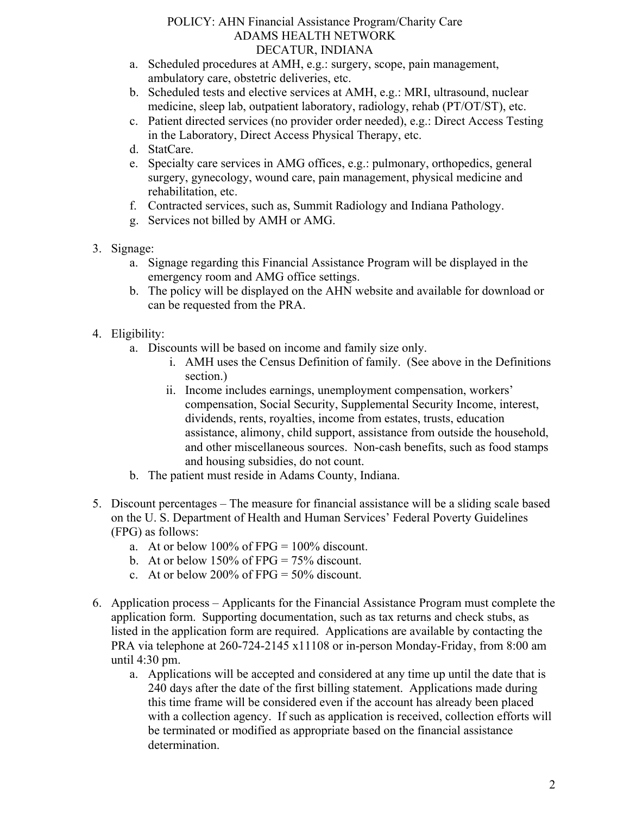#### POLICY: AHN Financial Assistance Program/Charity Care ADAMS HEALTH NETWORK DECATUR, INDIANA

- a. Scheduled procedures at AMH, e.g.: surgery, scope, pain management, ambulatory care, obstetric deliveries, etc.
- b. Scheduled tests and elective services at AMH, e.g.: MRI, ultrasound, nuclear medicine, sleep lab, outpatient laboratory, radiology, rehab (PT/OT/ST), etc.
- c. Patient directed services (no provider order needed), e.g.: Direct Access Testing in the Laboratory, Direct Access Physical Therapy, etc.
- d. StatCare.
- e. Specialty care services in AMG offices, e.g.: pulmonary, orthopedics, general surgery, gynecology, wound care, pain management, physical medicine and rehabilitation, etc.
- f. Contracted services, such as, Summit Radiology and Indiana Pathology.
- g. Services not billed by AMH or AMG.
- 3. Signage:
	- a. Signage regarding this Financial Assistance Program will be displayed in the emergency room and AMG office settings.
	- b. The policy will be displayed on the AHN website and available for download or can be requested from the PRA.
- 4. Eligibility:
	- a. Discounts will be based on income and family size only.
		- i. AMH uses the Census Definition of family. (See above in the Definitions section.)
		- ii. Income includes earnings, unemployment compensation, workers' compensation, Social Security, Supplemental Security Income, interest, dividends, rents, royalties, income from estates, trusts, education assistance, alimony, child support, assistance from outside the household, and other miscellaneous sources. Non-cash benefits, such as food stamps and housing subsidies, do not count.
	- b. The patient must reside in Adams County, Indiana.
- 5. Discount percentages The measure for financial assistance will be a sliding scale based on the U. S. Department of Health and Human Services' Federal Poverty Guidelines (FPG) as follows:
	- a. At or below  $100\%$  of FPG =  $100\%$  discount.
	- b. At or below  $150\%$  of FPG = 75% discount.
	- c. At or below 200% of FPG =  $50\%$  discount.
- 6. Application process Applicants for the Financial Assistance Program must complete the application form. Supporting documentation, such as tax returns and check stubs, as listed in the application form are required. Applications are available by contacting the PRA via telephone at 260-724-2145 x11108 or in-person Monday-Friday, from 8:00 am until 4:30 pm.
	- a. Applications will be accepted and considered at any time up until the date that is 240 days after the date of the first billing statement. Applications made during this time frame will be considered even if the account has already been placed with a collection agency. If such as application is received, collection efforts will be terminated or modified as appropriate based on the financial assistance determination.